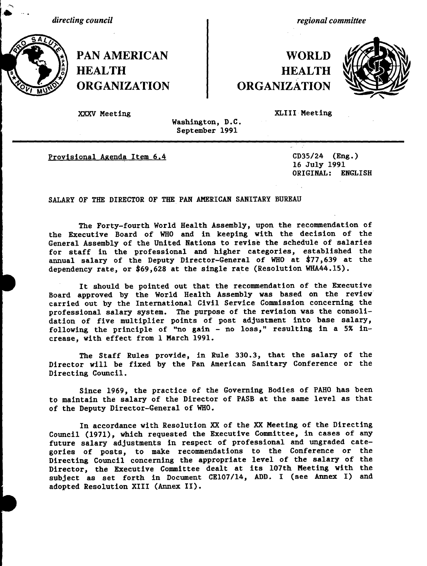*directing council*

*regional committee*

# **WORLD** HEALTH **HEALTH** ORGANIZATION ORGANIZATION



**PAN AMERICAN** 

XXXV Meeting XLIII Meeting

Washington, D.C. September 1991

Provisional Agenda Item 6.4 CD35/24 (Eng.)

16 July 1991 ORIGINAL: ENGLISH

SALARY OF THE DIRECTOR OF THE PAN AMERICAN SANITARY BUREAU

The Forty-fourth World Health Assembly, upon the recommendation of the Executive Board of WHO and in keeping with the decision of the General Assembly of the United Nations to revise the schedule of salaries for staff in the professional and higher categories, established the annual salary of the Deputy Director-General of WHO at \$77,639 at the dependency rate, or \$69,628 at the single rate (Resolution WHA44.15).

It should be pointed out that the recommendation of the Executive Board approved by the World Health Assembly was based on the review carried out by the International Civil Service Commission concerning the professional salary system. The purpose of the revision was the consolidation of five multiplier points of post adjustment into base salary, following the principle of "no gain - no loss," resulting in a 5% increase, with effect from 1 March 1991.

The Staff Rules provide, in Rule 330.3, that the salary of the Director will be fixed by the Pan American Sanitary Conference or the Directing Council.

Since 1969, the practice of the Governing Bodies of PAHO has been to maintain the salary of the Director of PASB at the same level as that of the Deputy Director-General of WHO.

In accordance with Resolution XX of the XX Meeting of the Directing Council (1971), which requested the Executive Committee, in cases of any future salary adjustments in respect of professional and ungraded categories of posts, to make recommendations to the Conference or the Directing Council concerning the appropriate level of the salary of the Director, the Executive Committee dealt at its 107th Meeting with the subject as set forth in Document CE107/14, ADD. I (see Annex I) and adopted Resolution XIII (Annex II).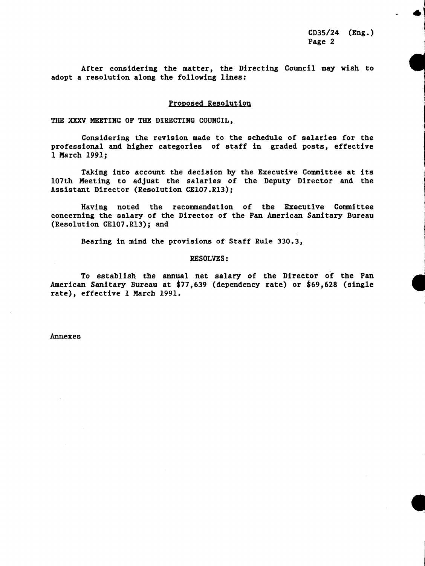CD35/24 (Eng.) Page 2

**a**

After considering the matter, the Directing Council may wish to adopt a resolution along the following lines:

#### Proposed Resolution

THE XXXV MEETING OF THE DIRECTING COUNCIL,

Considering the revision made to the schedule of salaries for the professional and higher categories of staff in graded posts, effective 1 March 1991;

Taking into account the decision by the Executive Committee at its 107th Meeting to adjust the salaries of the Deputy Director and the Assistant Director (Resolution CE107.R13);

Having noted the recommendation of the Executive Committee concerning the salary of the Director of the Pan American Sanitary Bureau (Resolution CE107.R13); and

Bearing in mind the provisions of Staff Rule 330.3,

#### RESOLVES:

To establish the annual net salary of the Director of the Pan American Sanitary Bureau at \$77,639 (dependency rate) or \$69,628 (single rate), effective 1 March 1991.

Annexes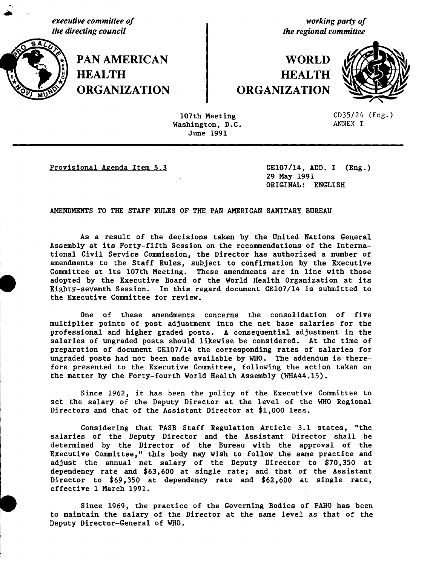*executive committee of working party of the directing council* the regional committee



**PAN AMERICAN I** WORLD **,i '\*HEALTH HEALTH ORGANIZATION ORGANIZATION**



107th Meeting CD35/24 (Eng.)<br>
ashington, D.C. ANNEX I Washington, D.C. June 1991

Provisional Agenda Item 5.3 CE107/14, ADD. I (Eng.)

29 May 1991 ORIGINAL: ENGLISH

AMENDMENTS TO THE STAFF RULES OF THE PAN AMERICAN SANITARY BUREAU

As a result of the decisions taken by the United Nations General Assembly at its Forty-fifth Session on the recommendations of the International Civil Service Commission, the Director has authorized a number of amendments to the Staff Rules, subject to confirmation by the Executive Committee at its 107th Meeting. These amendments are in line with those adopted by the Executive Board of the World Health Organization at its Eighty-seventh Session. In this regard document CE107/14 is submitted to the Executive Committee for review.

One of these amendments concerns the consolidation of five multiplier points of post adjustment into the net base salaries for the professional and higher graded posts. A consequential adjustment in the salaries of ungraded posts should likewise be considered. At the time of preparation of document CE107/14 the corresponding rates of salaries for ungraded posts had not been made available by WHO. The addendum is therefore presented to the Executive Committee, following the action taken on the matter by the Forty-fourth World Health Assembly (WHA44.15).

Since 1962, it has been the policy of the Executive Committee to set the salary of the Deputy Director at the level of the WHO Regional Directors and that of the Assistant Director at \$1,000 less.

Considering that PASB Staff Regulation Article 3.1 states, "the salaries of the Deputy Director and the Assistant Director shall be determined by the Director of the Bureau with the approval of the Executive Committee," this body may wish to follow the same practice and adjust the annual net salary of the Deputy Director to \$70,350 at dependency rate and \$63,600 at single rate; and that of the Assistant Director to \$69,350 at dependency rate and \$62,600 at single rate, effective 1 March 1991.

Since 1969, the practice of the Governing Bodies of PAHO has been to maintain the salary of the Director at the same level as that of the Deputy Director-General of WHO.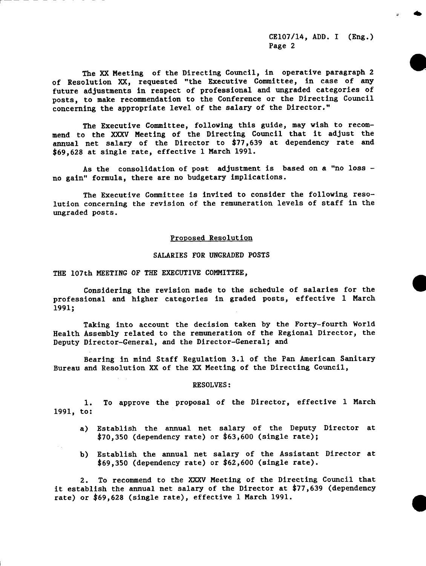CE107/14, ADD. I (Eng.) Page 2

*Ob*

The XX Meeting of the Directing Council, in operative paragraph 2 of Resolution XX, requested "the Executive Committee, in case of any future adjustments in respect of professional and ungraded categories of posts, to make recommendation to the Conference or the Directing Council concerning the appropriate level of the salary of the Director."

The Executive Committee, following this guide, may wish to recommend to the XXXV Meeting of the Directing Council that it adjust the annual net salary of the Director to \$77,639 at dependency rate and \$69,628 at single rate, effective 1 March 1991.

As the consolidation of post adjustment is based on a "no loss no gain" formula, there are no budgetary implications.

The Executive Committee is invited to consider the following resolution concerning the revision of the remuneration levels of staff in the ungraded posts.

#### Proposed Resolution

## SALARIES FOR UNGRADED POSTS

THE 107th MEETING OF THE EXECUTIVE COMMITTEE,

Considering the revision made to the schedule of salaries for the **0** professional and higher categories in graded posts, effective 1 March 1991;

Taking into account the decision taken by the Forty-fourth World Health Assembly related to the remuneration of the Regional Director, the Deputy Director-General, and the Director-General; and

Bearing in mind Staff Regulation 3.1 of the Pan American Sanitary Bureau and Resolution XX of the XX Meeting of the Directing Council,

#### RESOLVES:

1. To approve the proposal of the Director, effective 1 March 1991, to:

- a) Establish the annual net salary of the Deputy Director at \$70,350 (dependency rate) or \$63,600 (single rate);
- b) Establish the annual net salary of the Assistant Director at \$69,350 (dependency rate) or \$62,600 (single rate).

2. To recommend to the XXXV Meeting of the Directing Council that it establish the annual net salary of the Director at \$77,639 (dependency rate) or \$69,628 (single rate), effective 1 March 1991.